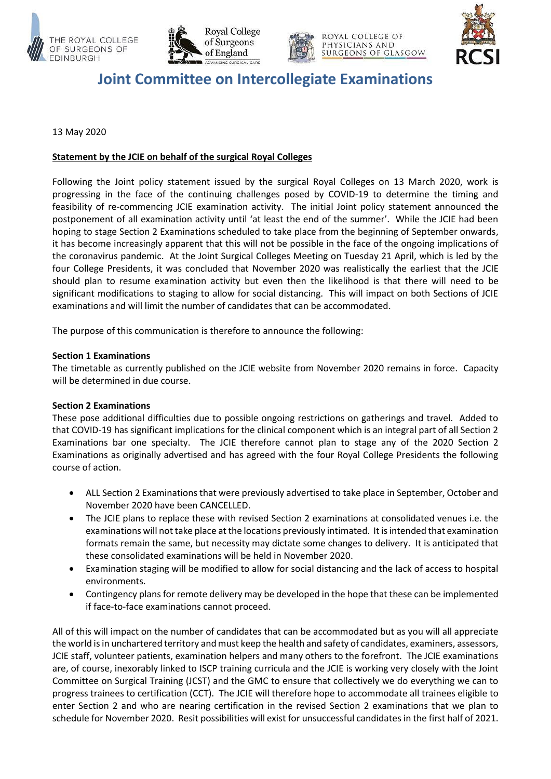







# **Joint Committee on Intercollegiate Examinations**

## 13 May 2020

## **Statement by the JCIE on behalf of the surgical Royal Colleges**

Following the Joint policy statement issued by the surgical Royal Colleges on 13 March 2020, work is progressing in the face of the continuing challenges posed by COVID-19 to determine the timing and feasibility of re-commencing JCIE examination activity. The initial Joint policy statement announced the postponement of all examination activity until 'at least the end of the summer'. While the JCIE had been hoping to stage Section 2 Examinations scheduled to take place from the beginning of September onwards, it has become increasingly apparent that this will not be possible in the face of the ongoing implications of the coronavirus pandemic. At the Joint Surgical Colleges Meeting on Tuesday 21 April, which is led by the four College Presidents, it was concluded that November 2020 was realistically the earliest that the JCIE should plan to resume examination activity but even then the likelihood is that there will need to be significant modifications to staging to allow for social distancing. This will impact on both Sections of JCIE examinations and will limit the number of candidates that can be accommodated.

The purpose of this communication is therefore to announce the following:

### **Section 1 Examinations**

The timetable as currently published on the JCIE website from November 2020 remains in force. Capacity will be determined in due course.

### **Section 2 Examinations**

These pose additional difficulties due to possible ongoing restrictions on gatherings and travel. Added to that COVID-19 has significant implications for the clinical component which is an integral part of all Section 2 Examinations bar one specialty. The JCIE therefore cannot plan to stage any of the 2020 Section 2 Examinations as originally advertised and has agreed with the four Royal College Presidents the following course of action.

- ALL Section 2 Examinations that were previously advertised to take place in September, October and November 2020 have been CANCELLED.
- The JCIE plans to replace these with revised Section 2 examinations at consolidated venues i.e. the examinations will not take place at the locations previously intimated. It is intended that examination formats remain the same, but necessity may dictate some changes to delivery. It is anticipated that these consolidated examinations will be held in November 2020.
- Examination staging will be modified to allow for social distancing and the lack of access to hospital environments.
- Contingency plans for remote delivery may be developed in the hope that these can be implemented if face-to-face examinations cannot proceed.

All of this will impact on the number of candidates that can be accommodated but as you will all appreciate the world is in unchartered territory and must keep the health and safety of candidates, examiners, assessors, JCIE staff, volunteer patients, examination helpers and many others to the forefront. The JCIE examinations are, of course, inexorably linked to ISCP training curricula and the JCIE is working very closely with the Joint Committee on Surgical Training (JCST) and the GMC to ensure that collectively we do everything we can to progress trainees to certification (CCT). The JCIE will therefore hope to accommodate all trainees eligible to enter Section 2 and who are nearing certification in the revised Section 2 examinations that we plan to schedule for November 2020. Resit possibilities will exist for unsuccessful candidates in the first half of 2021.